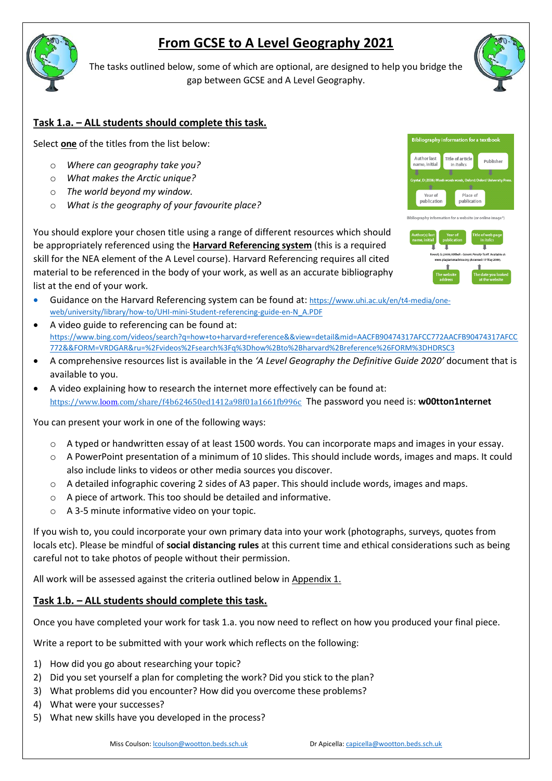# **From GCSE to A Level Geography 2021**



The tasks outlined below, some of which are optional, are designed to help you bridge the gap between GCSE and A Level Geography.

## **Task 1.a. – ALL students should complete this task.**

Select **one** of the titles from the list below:

- o *Where can geography take you?*
- o *What makes the Arctic unique?*
- o *The world beyond my window.*
- o *What is the geography of your favourite place?*

You should explore your chosen title using a range of different resources which should be appropriately referenced using the **Harvard Referencing system** (this is a required skill for the NEA element of the A Level course). Harvard Referencing requires all cited material to be referenced in the body of your work, as well as an accurate bibliography list at the end of your work.

- Guidance on the Harvard Referencing system can be found at: [https://www.uhi.ac.uk/en/t4-media/one](https://www.uhi.ac.uk/en/t4-media/one-web/university/library/how-to/UHI-mini-Student-referencing-guide-en-N_A.PDF)[web/university/library/how-to/UHI-mini-Student-referencing-guide-en-N\\_A.PDF](https://www.uhi.ac.uk/en/t4-media/one-web/university/library/how-to/UHI-mini-Student-referencing-guide-en-N_A.PDF)
- A video guide to referencing can be found at: [https://www.bing.com/videos/search?q=how+to+harvard+reference&&view=detail&mid=AACFB90474317AFCC772AACFB90474317AFCC](https://www.bing.com/videos/search?q=how+to+harvard+reference&&view=detail&mid=AACFB90474317AFCC772AACFB90474317AFCC772&&FORM=VRDGAR&ru=%2Fvideos%2Fsearch%3Fq%3Dhow%2Bto%2Bharvard%2Breference%26FORM%3DHDRSC3) [772&&FORM=VRDGAR&ru=%2Fvideos%2Fsearch%3Fq%3Dhow%2Bto%2Bharvard%2Breference%26FORM%3DHDRSC3](https://www.bing.com/videos/search?q=how+to+harvard+reference&&view=detail&mid=AACFB90474317AFCC772AACFB90474317AFCC772&&FORM=VRDGAR&ru=%2Fvideos%2Fsearch%3Fq%3Dhow%2Bto%2Bharvard%2Breference%26FORM%3DHDRSC3)
- A comprehensive resources list is available in the *'A Level Geography the Definitive Guide 2020'* document that is available to you.
- A video explaining how to research the internet more effectively can be found at: <https://www.loom.com/share/f4b624650ed1412a98f01a1661fb996c> The password you need is: **w00tton1nternet**

You can present your work in one of the following ways:

- o A typed or handwritten essay of at least 1500 words. You can incorporate maps and images in your essay.
- $\circ$  A PowerPoint presentation of a minimum of 10 slides. This should include words, images and maps. It could also include links to videos or other media sources you discover.
- $\circ$  A detailed infographic covering 2 sides of A3 paper. This should include words, images and maps.
- o A piece of artwork. This too should be detailed and informative.
- o A 3-5 minute informative video on your topic.

If you wish to, you could incorporate your own primary data into your work (photographs, surveys, quotes from locals etc). Please be mindful of **social distancing rules** at this current time and ethical considerations such as being careful not to take photos of people without their permission.

All work will be assessed against the criteria outlined below in Appendix 1.

### **Task 1.b. – ALL students should complete this task.**

Once you have completed your work for task 1.a. you now need to reflect on how you produced your final piece.

Write a report to be submitted with your work which reflects on the following:

- 1) How did you go about researching your topic?
- 2) Did you set yourself a plan for completing the work? Did you stick to the plan?
- 3) What problems did you encounter? How did you overcome these problems?
- 4) What were your successes?
- 5) What new skills have you developed in the process?





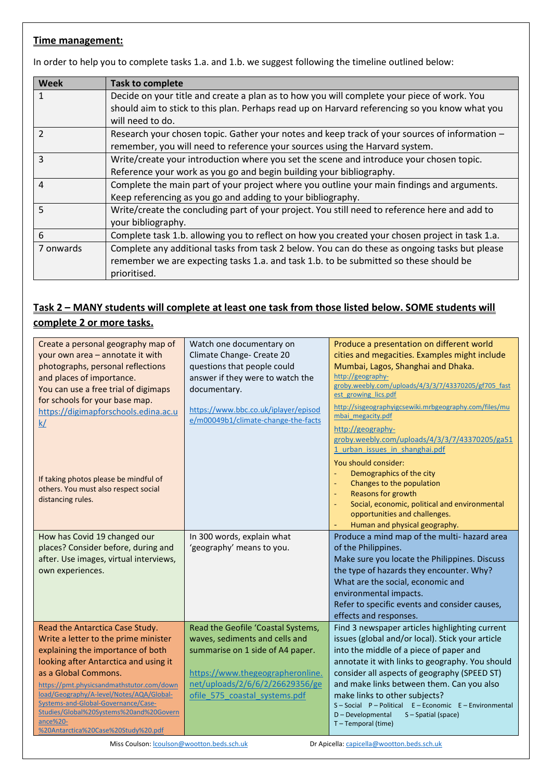### **Time management:**

In order to help you to complete tasks 1.a. and 1.b. we suggest following the timeline outlined below:

| Week           | <b>Task to complete</b>                                                                        |
|----------------|------------------------------------------------------------------------------------------------|
|                | Decide on your title and create a plan as to how you will complete your piece of work. You     |
|                | should aim to stick to this plan. Perhaps read up on Harvard referencing so you know what you  |
|                | will need to do.                                                                               |
| $\overline{2}$ | Research your chosen topic. Gather your notes and keep track of your sources of information -  |
|                | remember, you will need to reference your sources using the Harvard system.                    |
| 3              | Write/create your introduction where you set the scene and introduce your chosen topic.        |
|                | Reference your work as you go and begin building your bibliography.                            |
| $\overline{4}$ | Complete the main part of your project where you outline your main findings and arguments.     |
|                | Keep referencing as you go and adding to your bibliography.                                    |
| 5              | Write/create the concluding part of your project. You still need to reference here and add to  |
|                | your bibliography.                                                                             |
| 6              | Complete task 1.b. allowing you to reflect on how you created your chosen project in task 1.a. |
| 7 onwards      | Complete any additional tasks from task 2 below. You can do these as ongoing tasks but please  |
|                | remember we are expecting tasks 1.a. and task 1.b. to be submitted so these should be          |
|                | prioritised.                                                                                   |

## **Task 2 – MANY students will complete at least one task from those listed below. SOME students will complete 2 or more tasks.**

| Create a personal geography map of<br>your own area - annotate it with<br>photographs, personal reflections<br>and places of importance.<br>You can use a free trial of digimaps<br>for schools for your base map.<br>https://digimapforschools.edina.ac.u<br>k/ | Watch one documentary on<br>Climate Change- Create 20<br>questions that people could<br>answer if they were to watch the<br>documentary.<br>https://www.bbc.co.uk/iplayer/episod<br>e/m00049b1/climate-change-the-facts | Produce a presentation on different world<br>cities and megacities. Examples might include<br>Mumbai, Lagos, Shanghai and Dhaka.<br>http://geography-<br>groby.weebly.com/uploads/4/3/3/7/43370205/gf705 fast<br>est growing lics.pdf<br>http://sisgeographyigcsewiki.mrbgeography.com/files/mu<br>mbai megacity.pdf<br>http://geography-<br>groby.weebly.com/uploads/4/3/3/7/43370205/ga51 |
|------------------------------------------------------------------------------------------------------------------------------------------------------------------------------------------------------------------------------------------------------------------|-------------------------------------------------------------------------------------------------------------------------------------------------------------------------------------------------------------------------|---------------------------------------------------------------------------------------------------------------------------------------------------------------------------------------------------------------------------------------------------------------------------------------------------------------------------------------------------------------------------------------------|
| If taking photos please be mindful of<br>others. You must also respect social<br>distancing rules.                                                                                                                                                               |                                                                                                                                                                                                                         | 1 urban issues in shanghai.pdf<br>You should consider:<br>Demographics of the city<br>Changes to the population<br>$\blacksquare$<br>Reasons for growth<br>$\blacksquare$<br>Social, economic, political and environmental<br>opportunities and challenges.<br>Human and physical geography.                                                                                                |
| How has Covid 19 changed our<br>places? Consider before, during and                                                                                                                                                                                              | In 300 words, explain what<br>'geography' means to you.                                                                                                                                                                 | Produce a mind map of the multi- hazard area<br>of the Philippines.                                                                                                                                                                                                                                                                                                                         |
| after. Use images, virtual interviews,                                                                                                                                                                                                                           |                                                                                                                                                                                                                         | Make sure you locate the Philippines. Discuss                                                                                                                                                                                                                                                                                                                                               |
| own experiences.                                                                                                                                                                                                                                                 |                                                                                                                                                                                                                         | the type of hazards they encounter. Why?<br>What are the social, economic and                                                                                                                                                                                                                                                                                                               |
|                                                                                                                                                                                                                                                                  |                                                                                                                                                                                                                         | environmental impacts.                                                                                                                                                                                                                                                                                                                                                                      |
|                                                                                                                                                                                                                                                                  |                                                                                                                                                                                                                         | Refer to specific events and consider causes,<br>effects and responses.                                                                                                                                                                                                                                                                                                                     |
| Read the Antarctica Case Study.                                                                                                                                                                                                                                  | Read the Geofile 'Coastal Systems,                                                                                                                                                                                      | Find 3 newspaper articles highlighting current                                                                                                                                                                                                                                                                                                                                              |
| Write a letter to the prime minister<br>explaining the importance of both                                                                                                                                                                                        | waves, sediments and cells and<br>summarise on 1 side of A4 paper.                                                                                                                                                      | issues (global and/or local). Stick your article<br>into the middle of a piece of paper and                                                                                                                                                                                                                                                                                                 |
| looking after Antarctica and using it                                                                                                                                                                                                                            |                                                                                                                                                                                                                         | annotate it with links to geography. You should                                                                                                                                                                                                                                                                                                                                             |
| as a Global Commons.                                                                                                                                                                                                                                             | https://www.thegeographeronline.                                                                                                                                                                                        | consider all aspects of geography (SPEED ST)                                                                                                                                                                                                                                                                                                                                                |
| https://pmt.physicsandmathstutor.com/down                                                                                                                                                                                                                        | net/uploads/2/6/6/2/26629356/ge                                                                                                                                                                                         | and make links between them. Can you also                                                                                                                                                                                                                                                                                                                                                   |
| load/Geography/A-level/Notes/AQA/Global-<br>Systems-and-Global-Governance/Case-                                                                                                                                                                                  | ofile 575 coastal systems.pdf                                                                                                                                                                                           | make links to other subjects?                                                                                                                                                                                                                                                                                                                                                               |
| Studies/Global%20Systems%20and%20Govern                                                                                                                                                                                                                          |                                                                                                                                                                                                                         | S-Social P-Political E-Economic E-Environmental<br>D - Developmental<br>S-Spatial (space)                                                                                                                                                                                                                                                                                                   |
| ance%20-                                                                                                                                                                                                                                                         |                                                                                                                                                                                                                         | T-Temporal (time)                                                                                                                                                                                                                                                                                                                                                                           |
| %20Antarctica%20Case%20Study%20.pdf                                                                                                                                                                                                                              |                                                                                                                                                                                                                         |                                                                                                                                                                                                                                                                                                                                                                                             |

Miss Coulson[: lcoulson@wootton.beds.sch.uk](mailto:lcoulson@wootton.beds.sch.uk) Dr Apicella[: capicella@wootton.beds.sch.uk](mailto:capicella@wootton.beds.sch.uk) Dr Apicella